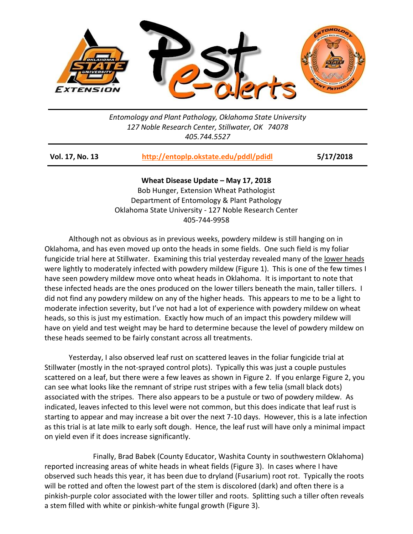

*Entomology and Plant Pathology, Oklahoma State University 127 Noble Research Center, Stillwater, OK 74078 405.744.5527*

| Vol. 17, No. 13 | http://entoplp.okstate.edu/pddl/pdidl | 5/17/2018 |
|-----------------|---------------------------------------|-----------|
|-----------------|---------------------------------------|-----------|

**Wheat Disease Update – May 17, 2018** Bob Hunger, Extension Wheat Pathologist Department of Entomology & Plant Pathology Oklahoma State University - 127 Noble Research Center 405-744-9958

Although not as obvious as in previous weeks, powdery mildew is still hanging on in Oklahoma, and has even moved up onto the heads in some fields. One such field is my foliar fungicide trial here at Stillwater. Examining this trial yesterday revealed many of the lower heads were lightly to moderately infected with powdery mildew (Figure 1). This is one of the few times I have seen powdery mildew move onto wheat heads in Oklahoma. It is important to note that these infected heads are the ones produced on the lower tillers beneath the main, taller tillers. I did not find any powdery mildew on any of the higher heads. This appears to me to be a light to moderate infection severity, but I've not had a lot of experience with powdery mildew on wheat heads, so this is just my estimation. Exactly how much of an impact this powdery mildew will have on yield and test weight may be hard to determine because the level of powdery mildew on these heads seemed to be fairly constant across all treatments.

Yesterday, I also observed leaf rust on scattered leaves in the foliar fungicide trial at Stillwater (mostly in the not-sprayed control plots). Typically this was just a couple pustules scattered on a leaf, but there were a few leaves as shown in Figure 2. If you enlarge Figure 2, you can see what looks like the remnant of stripe rust stripes with a few telia (small black dots) associated with the stripes. There also appears to be a pustule or two of powdery mildew. As indicated, leaves infected to this level were not common, but this does indicate that leaf rust is starting to appear and may increase a bit over the next 7-10 days. However, this is a late infection as this trial is at late milk to early soft dough. Hence, the leaf rust will have only a minimal impact on yield even if it does increase significantly.

Finally, Brad Babek (County Educator, Washita County in southwestern Oklahoma) reported increasing areas of white heads in wheat fields (Figure 3). In cases where I have observed such heads this year, it has been due to dryland (Fusarium) root rot. Typically the roots will be rotted and often the lowest part of the stem is discolored (dark) and often there is a pinkish-purple color associated with the lower tiller and roots. Splitting such a tiller often reveals a stem filled with white or pinkish-white fungal growth (Figure 3).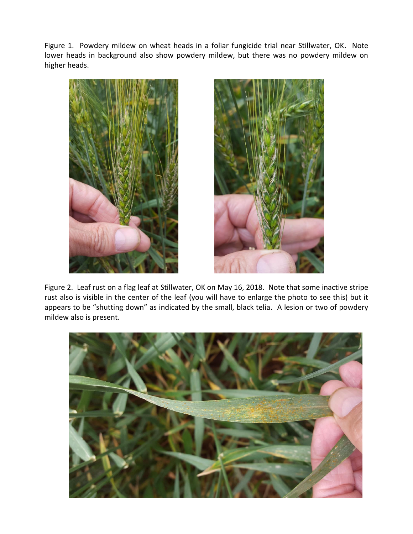Figure 1. Powdery mildew on wheat heads in a foliar fungicide trial near Stillwater, OK. Note lower heads in background also show powdery mildew, but there was no powdery mildew on higher heads.





Figure 2. Leaf rust on a flag leaf at Stillwater, OK on May 16, 2018. Note that some inactive stripe rust also is visible in the center of the leaf (you will have to enlarge the photo to see this) but it appears to be "shutting down" as indicated by the small, black telia. A lesion or two of powdery mildew also is present.